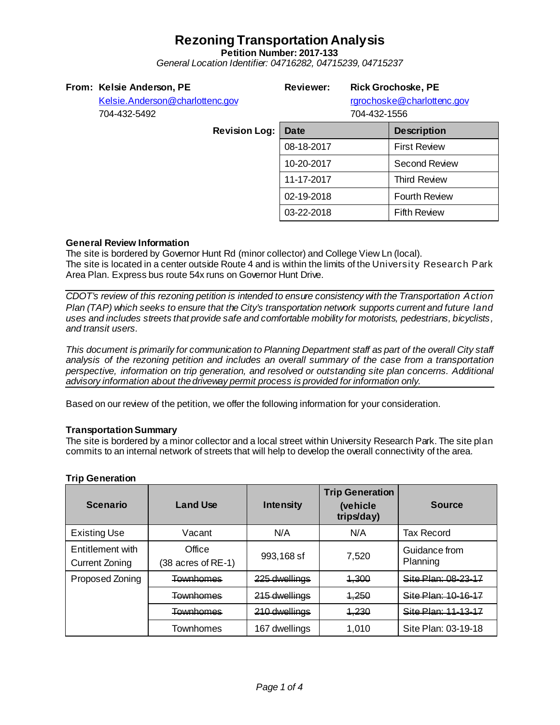**Petition Number: 2017-133**

*General Location Identifier: 04716282, 04715239, 04715237*

| From: Kelsie Anderson, PE |
|---------------------------|
|---------------------------|

**Reviewer: Rick Grochoske, PE**

rgrochoske@charlottenc.gov

[Kelsie.Anderson@charlottenc.gov](mailto:Kelsie.Anderson@charlottenc.gov) 704-432-5492 **Revision Log:** 

 $704.433.4556$ 

| /04-432-1556 |
|--------------|
|--------------|

| Date       | <b>Description</b>   |  |  |
|------------|----------------------|--|--|
| 08-18-2017 | <b>First Review</b>  |  |  |
| 10-20-2017 | <b>Second Review</b> |  |  |
| 11-17-2017 | <b>Third Review</b>  |  |  |
| 02-19-2018 | <b>Fourth Review</b> |  |  |
| 03-22-2018 | <b>Fifth Review</b>  |  |  |

### **General Review Information**

The site is bordered by Governor Hunt Rd (minor collector) and College View Ln (local). The site is located in a center outside Route 4 and is within the limits of the University Research Park Area Plan. Express bus route 54x runs on Governor Hunt Drive.

*CDOT's review of this rezoning petition is intended to ensure consistency with the Transportation Action Plan (TAP) which seeks to ensure that the City's transportation network supports current and future land uses and includes streets that provide safe and comfortable mobility for motorists, pedestrians, bicyclists, and transit users.*

*This document is primarily for communication to Planning Department staff as part of the overall City staff analysis of the rezoning petition and includes an overall summary of the case from a transportation perspective, information on trip generation, and resolved or outstanding site plan concerns. Additional advisory information about the driveway permit process is provided for information only.*

Based on our review of the petition, we offer the following information for your consideration.

#### **Transportation Summary**

The site is bordered by a minor collector and a local street within University Research Park. The site plan commits to an internal network of streets that will help to develop the overall connectivity of the area.

| <b>Scenario</b>                    | <b>Land Use</b>              | <b>Intensity</b> | <b>Trip Generation</b><br>(vehicle<br>trips/day) | <b>Source</b>             |
|------------------------------------|------------------------------|------------------|--------------------------------------------------|---------------------------|
| <b>Existing Use</b>                | Vacant                       | N/A              | N/A                                              | <b>Tax Record</b>         |
| Entitlement with<br>Current Zoning | Office<br>(38 acres of RE-1) | 993,168 sf       | 7,520                                            | Guidance from<br>Planning |
| Proposed Zoning                    | Townhomes                    | 225 dwellings    | 1,300                                            | Site Plan: 08-23-17       |
|                                    | Townhomes                    | 215 dwellings    | 1,250                                            | Site Plan: 10-16-17       |
|                                    | Townhomes                    | 210 dwellings    | 1,230                                            | Sita Plan: 11_13_17       |
|                                    | Townhomes                    | 167 dwellings    | 1,010                                            | Site Plan: 03-19-18       |

### **Trip Generation**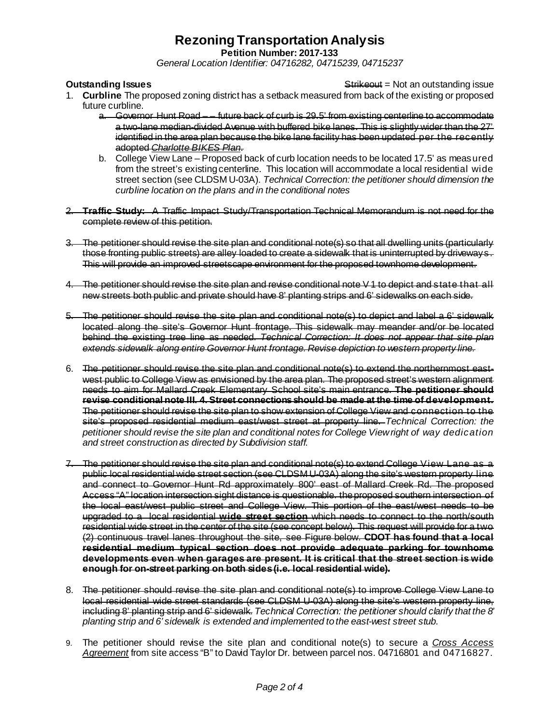**Petition Number: 2017-133**

*General Location Identifier: 04716282, 04715239, 04715237*

**Outstanding Issues Contains a Strike of the Strike outstanding issue** Strike outstanding issue

- 1. **Curbline** The proposed zoning district has a setback measured from back of the existing or proposed future curbline.
	- a. Governor Hunt Road -- future back of curb is 29.5' from existing centerline to accommodate a two-lane median-divided Avenue with buffered bike lanes. This is slightly wider than the 27' identified in the area plan because the bike lane facility has been updated per the recently adopted *Charlotte BIKES Plan*.
	- b. College View Lane Proposed back of curb location needs to be located 17.5' as measured from the street's existing centerline. This location will accommodate a local residential wide street section (see CLDSM U-03A). *Technical Correction: the petitioner should dimension the curbline location on the plans and in the conditional notes*
- 2. **Traffic Study:** A Traffic Impact Study/Transportation Technical Memorandum is not need for the complete review of this petition.
- 3. The petitioner should revise the site plan and conditional note(s) so that all dwelling units (particularly those fronting public streets) are alley loaded to create a sidewalk that is uninterrupted by driveways. This will provide an improved streetscape environment for the proposed townhome development.
- 4. The petitioner should revise the site plan and revise conditional note V 1 to depict and state that all new streets both public and private should have 8' planting strips and 6' sidewalks on each side.
- 5. The petitioner should revise the site plan and conditional note(s) to depict and label a 6' sidewalk located along the site's Governor Hunt frontage. This sidewalk may meander and/or be located behind the existing tree line as needed. *Technical Correction: It does not appear that site plan extends sidewalk along entire Governor Hunt frontage. Revise depiction to western property line.*
- 6. The petitioner should revise the site plan and conditional note(s) to extend the northernmost eastwest public to College View as envisioned by the area plan. The proposed street's western alignment needs to aim for Mallard Creek Elementary School site's main entrance. **The petitioner should revise conditional note III. 4. Street connections should be made at the time of development.**  The petitioner should revise the site plan to show extension of College View and connection to the site's proposed residential medium east/west street at property line. *Technical Correction: the petitioner should revise the site plan and conditional notes for College View right of way dedication and street construction as directed by Subdivision staff.*
- 7. The petitioner should revise the site plan and conditional note(s) to extend College View Lane as a public local residential wide street section (see CLDSM U-03A) along the site's western property line and connect to Governor Hunt Rd approximately 800' east of Mallard Creek Rd. The proposed Access "A" location intersection sight distance is questionable. the proposed southern intersection of the local east/west public street and College View. This portion of the east/west needs to be upgraded to a local residential **wide street section** which needs to connect to the north/south residential wide street in the center of the site (see concept below). This request will provide for a two (2) continuous travel lanes throughout the site, see Figure below. **CDOT has found that a local residential medium typical section does not provide adequate parking for townhome developments even when garages are present. It is critical that the street section is wide enough for on-street parking on both sides (i.e. local residential wide).**
- 8. The petitioner should revise the site plan and conditional note(s) to improve College View Lane to local residential wide street standards (see CLDSM U-03A) along the site's western property line, including 8' planting strip and 6' sidewalk. *Technical Correction: the petitioner should clarify that the 8' planting strip and 6' sidewalk is extended and implemented to the east-west street stub.*
- 9. The petitioner should revise the site plan and conditional note(s) to secure a *Cross Access Agreement* from site access "B" to David Taylor Dr. between parcel nos. 04716801 and 04716827.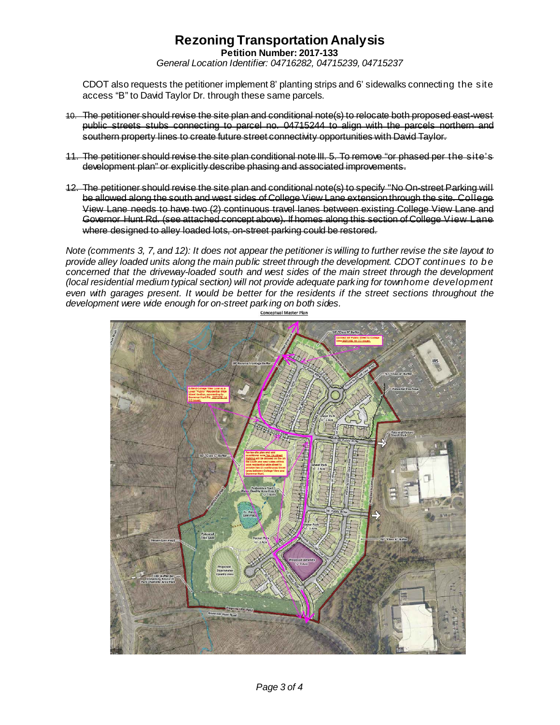**Petition Number: 2017-133**

*General Location Identifier: 04716282, 04715239, 04715237*

CDOT also requests the petitioner implement 8' planting strips and 6' sidewalks connecting the site access "B" to David Taylor Dr. through these same parcels.

- 10. The petitioner should revise the site plan and conditional note(s) to relocate both proposed east-west public streets stubs connecting to parcel no. 04715244 to align with the parcels northern southern property lines to create future street connectivity opportunities with David Taylor.
- 11. The petitioner should revise the site plan conditional note III. 5. To remove "or phased per the site's development plan" or explicitly describe phasing and associated improvements.
- 12. The petitioner should revise the site plan and conditional note(s) to specify "No On-street Parking will be allowed along the south and west sides of College View Lane extension through the site. College View Lane needs to have two (2) continuous travel lanes between existing College View Lane and Governor Hunt Rd. (see attached concept above). If homes along this section of College View Lane where designed to alley loaded lots, on-street parking could be restored.

*Note (comments 3, 7, and 12): It does not appear the petitioner is willing to further revise the site layout to provide alley loaded units along the main public street through the development. CDOT continues to be concerned that the driveway-loaded south and west sides of the main street through the development (local residential medium typical section) will not provide adequate parking for townhome development even with garages present. It would be better for the residents if the street sections throughout the development were wide enough for on-street parking on both sides.*